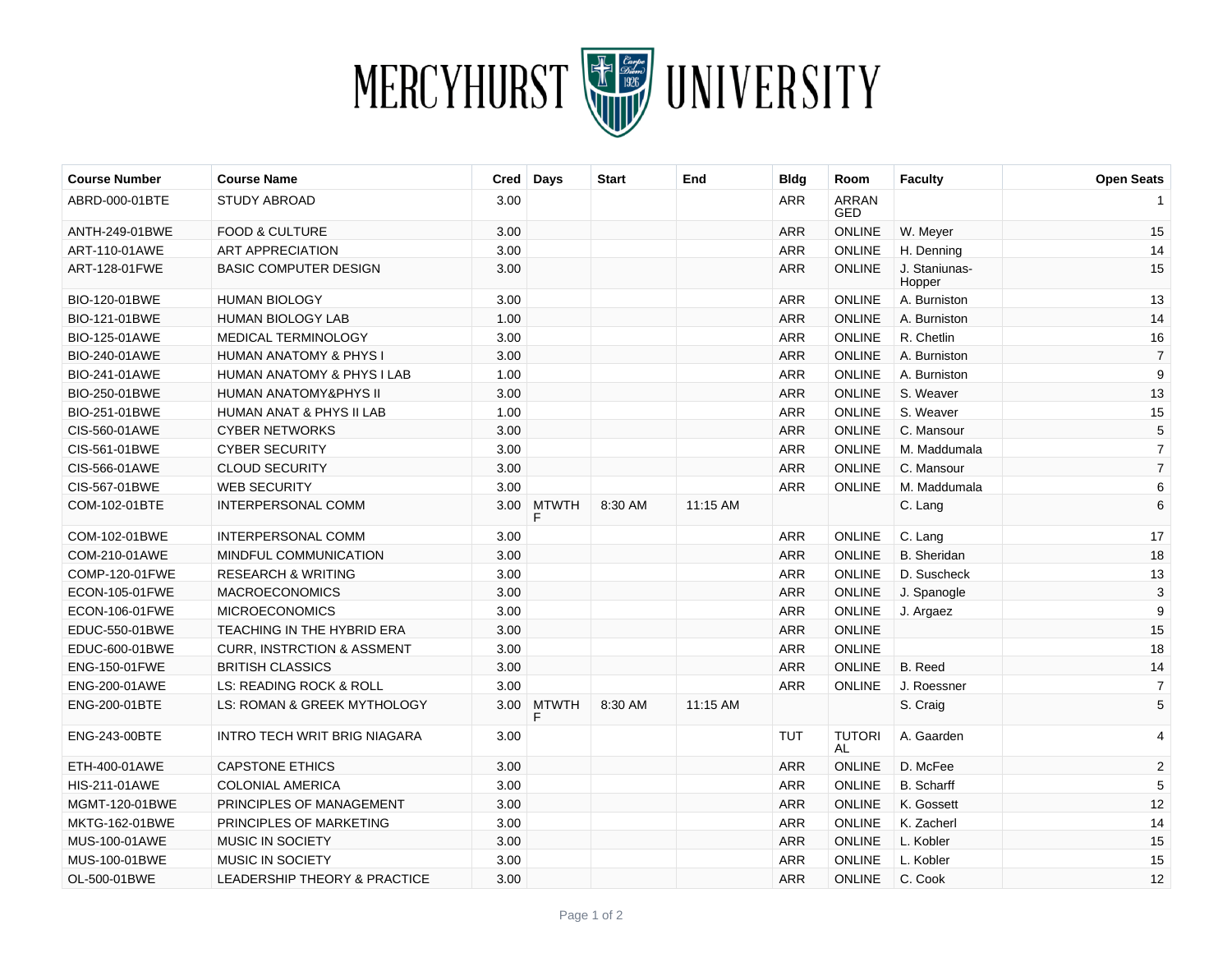

| <b>Course Number</b> | <b>Course Name</b>                      | Cred              | Days         | <b>Start</b> | End      | <b>Bldg</b> | Room                       | <b>Faculty</b>          | <b>Open Seats</b> |
|----------------------|-----------------------------------------|-------------------|--------------|--------------|----------|-------------|----------------------------|-------------------------|-------------------|
| ABRD-000-01BTE       | <b>STUDY ABROAD</b>                     | 3.00              |              |              |          | <b>ARR</b>  | <b>ARRAN</b><br><b>GED</b> |                         |                   |
| ANTH-249-01BWE       | <b>FOOD &amp; CULTURE</b>               | 3.00              |              |              |          | <b>ARR</b>  | <b>ONLINE</b>              | W. Meyer                | 15                |
| ART-110-01AWE        | <b>ART APPRECIATION</b>                 | 3.00              |              |              |          | <b>ARR</b>  | <b>ONLINE</b>              | H. Denning              | 14                |
| ART-128-01FWE        | BASIC COMPUTER DESIGN                   | 3.00              |              |              |          | <b>ARR</b>  | <b>ONLINE</b>              | J. Staniunas-<br>Hopper | 15                |
| BIO-120-01BWE        | <b>HUMAN BIOLOGY</b>                    | 3.00              |              |              |          | <b>ARR</b>  | <b>ONLINE</b>              | A. Burniston            | 13                |
| BIO-121-01BWE        | <b>HUMAN BIOLOGY LAB</b>                | 1.00              |              |              |          | <b>ARR</b>  | <b>ONLINE</b>              | A. Burniston            | 14                |
| BIO-125-01AWE        | <b>MEDICAL TERMINOLOGY</b>              | 3.00              |              |              |          | <b>ARR</b>  | <b>ONLINE</b>              | R. Chetlin              | 16                |
| BIO-240-01AWE        | <b>HUMAN ANATOMY &amp; PHYS I</b>       | 3.00              |              |              |          | <b>ARR</b>  | <b>ONLINE</b>              | A. Burniston            | $\overline{7}$    |
| BIO-241-01AWE        | <b>HUMAN ANATOMY &amp; PHYS I LAB</b>   | 1.00              |              |              |          | <b>ARR</b>  | <b>ONLINE</b>              | A. Burniston            | 9                 |
| BIO-250-01BWE        | <b>HUMAN ANATOMY&amp;PHYS II</b>        | 3.00              |              |              |          | <b>ARR</b>  | <b>ONLINE</b>              | S. Weaver               | 13                |
| BIO-251-01BWE        | HUMAN ANAT & PHYS II LAB                | 1.00              |              |              |          | <b>ARR</b>  | ONLINE                     | S. Weaver               | 15                |
| CIS-560-01AWE        | <b>CYBER NETWORKS</b>                   | 3.00              |              |              |          | <b>ARR</b>  | <b>ONLINE</b>              | C. Mansour              | 5                 |
| CIS-561-01BWE        | <b>CYBER SECURITY</b>                   | 3.00              |              |              |          | <b>ARR</b>  | <b>ONLINE</b>              | M. Maddumala            | $\overline{7}$    |
| CIS-566-01AWE        | <b>CLOUD SECURITY</b>                   | 3.00              |              |              |          | <b>ARR</b>  | <b>ONLINE</b>              | C. Mansour              | $\overline{7}$    |
| CIS-567-01BWE        | <b>WEB SECURITY</b>                     | 3.00              |              |              |          | <b>ARR</b>  | <b>ONLINE</b>              | M. Maddumala            | 6                 |
| COM-102-01BTE        | INTERPERSONAL COMM                      | 3.00 <sub>1</sub> | <b>MTWTH</b> | 8:30 AM      | 11:15 AM |             |                            | C. Lang                 | 6                 |
| COM-102-01BWE        | INTERPERSONAL COMM                      | 3.00              |              |              |          | <b>ARR</b>  | <b>ONLINE</b>              | C. Lang                 | 17                |
| COM-210-01AWE        | MINDFUL COMMUNICATION                   | 3.00              |              |              |          | <b>ARR</b>  | <b>ONLINE</b>              | <b>B.</b> Sheridan      | 18                |
| COMP-120-01FWE       | <b>RESEARCH &amp; WRITING</b>           | 3.00              |              |              |          | <b>ARR</b>  | <b>ONLINE</b>              | D. Suscheck             | 13                |
| ECON-105-01FWE       | <b>MACROECONOMICS</b>                   | 3.00              |              |              |          | <b>ARR</b>  | <b>ONLINE</b>              | J. Spanogle             | 3                 |
| ECON-106-01FWE       | <b>MICROECONOMICS</b>                   | 3.00              |              |              |          | <b>ARR</b>  | <b>ONLINE</b>              | J. Argaez               | 9                 |
| EDUC-550-01BWE       | TEACHING IN THE HYBRID ERA              | 3.00              |              |              |          | <b>ARR</b>  | ONLINE                     |                         | 15                |
| EDUC-600-01BWE       | <b>CURR, INSTRCTION &amp; ASSMENT</b>   | 3.00              |              |              |          | <b>ARR</b>  | <b>ONLINE</b>              |                         | 18                |
| ENG-150-01FWE        | <b>BRITISH CLASSICS</b>                 | 3.00              |              |              |          | <b>ARR</b>  | <b>ONLINE</b>              | B. Reed                 | 14                |
| ENG-200-01AWE        | LS: READING ROCK & ROLL                 | 3.00              |              |              |          | <b>ARR</b>  | <b>ONLINE</b>              | J. Roessner             | $\overline{7}$    |
| ENG-200-01BTE        | LS: ROMAN & GREEK MYTHOLOGY             | 3.00              | <b>MTWTH</b> | 8:30 AM      | 11:15 AM |             |                            | S. Craig                | 5                 |
| <b>ENG-243-00BTE</b> | INTRO TECH WRIT BRIG NIAGARA            | 3.00              |              |              |          | <b>TUT</b>  | <b>TUTORI</b><br><b>AL</b> | A. Gaarden              | 4                 |
| ETH-400-01AWE        | <b>CAPSTONE ETHICS</b>                  | 3.00              |              |              |          | <b>ARR</b>  | <b>ONLINE</b>              | D. McFee                | $\sqrt{2}$        |
| <b>HIS-211-01AWE</b> | <b>COLONIAL AMERICA</b>                 | 3.00              |              |              |          | <b>ARR</b>  | <b>ONLINE</b>              | <b>B.</b> Scharff       | 5                 |
| MGMT-120-01BWE       | PRINCIPLES OF MANAGEMENT                | 3.00              |              |              |          | <b>ARR</b>  | <b>ONLINE</b>              | K. Gossett              | 12                |
| MKTG-162-01BWE       | PRINCIPLES OF MARKETING                 | 3.00              |              |              |          | <b>ARR</b>  | <b>ONLINE</b>              | K. Zacherl              | 14                |
| MUS-100-01AWE        | <b>MUSIC IN SOCIETY</b>                 | 3.00              |              |              |          | <b>ARR</b>  | <b>ONLINE</b>              | L. Kobler               | 15                |
| MUS-100-01BWE        | MUSIC IN SOCIETY                        | 3.00              |              |              |          | <b>ARR</b>  | <b>ONLINE</b>              | L. Kobler               | 15                |
| OL-500-01BWE         | <b>LEADERSHIP THEORY &amp; PRACTICE</b> | 3.00              |              |              |          | <b>ARR</b>  | <b>ONLINE</b>              | C. Cook                 | 12                |